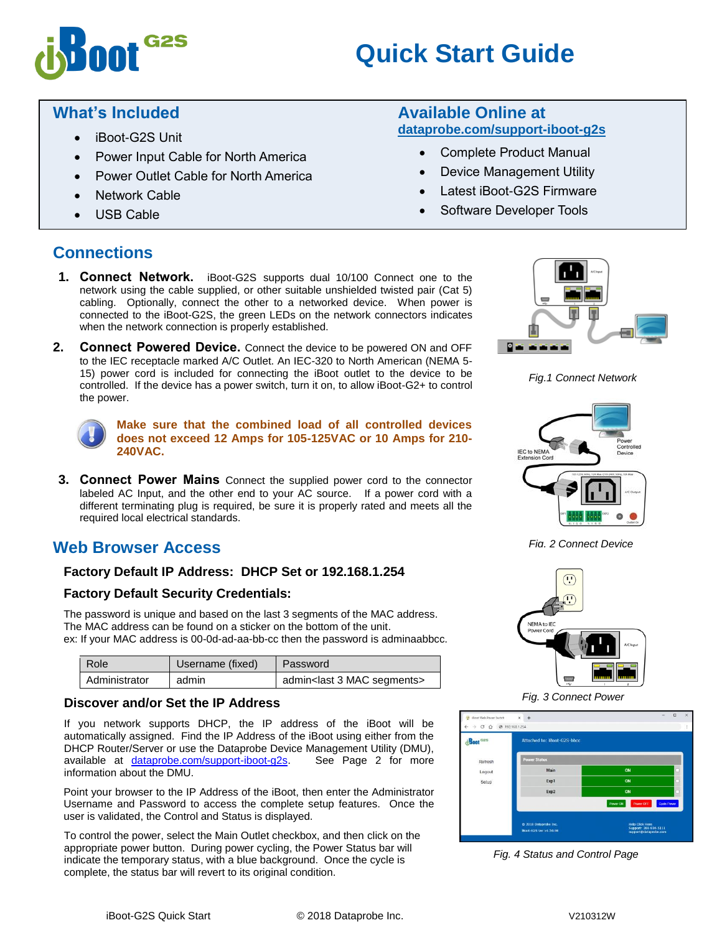# **Quick Start Guide**

## **What's Included**

- iBoot-G2S Unit
- Power Input Cable for North America

G<sub>2</sub>S

- Power Outlet Cable for North America
- Network Cable
- USB Cable

#### **Available Online at [dataprobe.com/support-iboot-g2s](http://dataprobe.com/support-iboot-g2s-welcome/)**

- Complete Product Manual
- Device Management Utility
- Latest iBoot-G2S Firmware
- Software Developer Tools

## **Connections**

- **1. Connect Network.** iBoot-G2S supports dual 10/100 Connect one to the network using the cable supplied, or other suitable unshielded twisted pair (Cat 5) cabling. Optionally, connect the other to a networked device. When power is connected to the iBoot-G2S, the green LEDs on the network connectors indicates when the network connection is properly established.
- **2. Connect Powered Device.** Connect the device to be powered ON and OFF to the IEC receptacle marked A/C Outlet. An IEC-320 to North American (NEMA 5- 15) power cord is included for connecting the iBoot outlet to the device to be controlled. If the device has a power switch, turn it on, to allow iBoot-G2+ to control the power.



**Make sure that the combined load of all controlled devices does not exceed 12 Amps for 105-125VAC or 10 Amps for 210- 240VAC.**

**3. Connect Power Mains** Connect the supplied power cord to the connector labeled AC Input, and the other end to your AC source. If a power cord with a different terminating plug is required, be sure it is properly rated and meets all the required local electrical standards.

## **Web Browser Access**

#### **Factory Default IP Address: DHCP Set or 192.168.1.254**

#### **Factory Default Security Credentials:**

The password is unique and based on the last 3 segments of the MAC address. The MAC address can be found on a sticker on the bottom of the unit. ex: If your MAC address is 00-0d-ad-aa-bb-cc then the password is adminaabbcc.

| Username (fixed)<br>Role |       | Password                                    |  |  |
|--------------------------|-------|---------------------------------------------|--|--|
| Administrator            | admin | admin <last 3="" mac="" segments=""></last> |  |  |

#### **Discover and/or Set the IP Address**

If you network supports DHCP, the IP address of the iBoot will be automatically assigned. Find the IP Address of the iBoot using either from the DHCP Router/Server or use the Dataprobe Device Management Utility (DMU), available at [dataprobe.com/support-iboot-g2s.](http://dataprobe.com/support-iboot-g2s-welcome/) See Page 2 for more information about the DMU.

Point your browser to the IP Address of the iBoot, then enter the Administrator Username and Password to access the complete setup features. Once the user is validated, the Control and Status is displayed.

To control the power, select the Main Outlet checkbox, and then click on the appropriate power button. During power cycling, the Power Status bar will indicate the temporary status, with a blue background. Once the cycle is complete, the status bar will revert to its original condition.



*Fig.1 Connect Network*



*Fig. 2 Connect Device*



*Fig. 3 Connect Power*

| dBoot <sup>cass</sup> | <b>Attached to: iBoot-G2S-bbcc</b> |                              |             |
|-----------------------|------------------------------------|------------------------------|-------------|
| Refresh               | <b>Power Status</b>                |                              |             |
| Logout                | Main                               | ON                           | □           |
| Setup                 | Exp1                               | ON                           |             |
|                       | Exp2                               | ON                           |             |
|                       |                                    | Power ON<br><b>Power OFF</b> | Cycle Power |

*Fig. 4 Status and Control Page*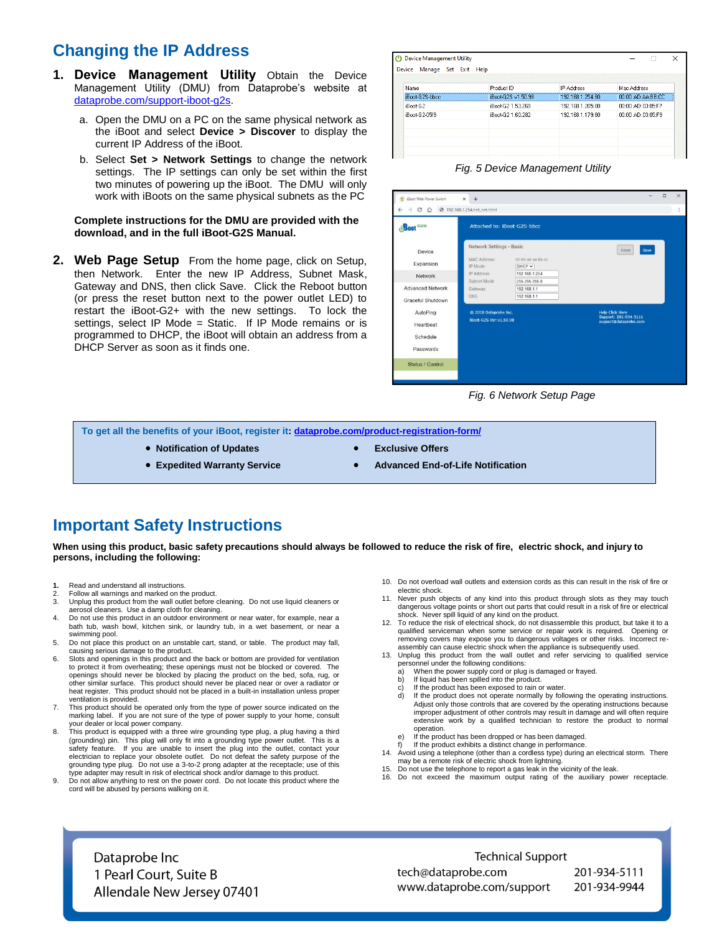## **Changing the IP Address**

- **1. Device Management Utility** Obtain the Device Management Utility (DMU) from Dataprobe's website at [dataprobe.com/support-iboot-g2s.](http://dataprobe.com/support-iboot-g2s-welcome/)
	- a. Open the DMU on a PC on the same physical network as the iBoot and select **Device > Discover** to display the current IP Address of the iBoot.
	- b. Select **Set > Network Settings** to change the network settings. The IP settings can only be set within the first two minutes of powering up the iBoot. The DMU will only work with iBoots on the same physical subnets as the PC

#### **Complete instructions for the DMU are provided with the download, and in the full iBoot-G2S Manual.**

**2. Web Page Setup** From the home page, click on Setup, then Network. Enter the new IP Address, Subnet Mask, Gateway and DNS, then click Save. Click the Reboot button (or press the reset button next to the power outlet LED) to restart the iBoot-G2+ with the new settings. To lock the settings, select IP Mode = Static. If IP Mode remains or is programmed to DHCP, the iBoot will obtain an address from a DHCP Server as soon as it finds one.

| Name            | Product ID         | <b>IP Address</b> | Mac Address       |
|-----------------|--------------------|-------------------|-------------------|
| iBoot-62S-bbcc. | iBoot-G2S v1.50.98 | 192.168.1.254:80  | 00:0D:AD:AA:BB:CC |
| iBoot-G2        | iBoot-G2 1.53.269  | 192.168.1.205:80  | 00:0D:AD:03:05:F7 |
| iBoot-G2-05f9   | iBoot-G2 1.60.282  | 192.168.1.179:80  | 00:00:AD:03:05:F9 |
|                 |                    |                   |                   |



| dynot G <sub>2S</sub>   |                                                      | Attached to: iBoot-G2S-bbcc    |                                                 |  |
|-------------------------|------------------------------------------------------|--------------------------------|-------------------------------------------------|--|
| Device<br>Expansion     | Network Settings - Basic<br>MAC Address:<br>IP Mode: | 00-0d-ad-aa-bb-cc              | Save<br>Reset                                   |  |
| Network                 | IP Address:                                          | $DHCP$ $\vee$<br>192 168 1 254 |                                                 |  |
| <b>Advanced Network</b> | Subnet Mask:<br>Gateway:                             | 255 255 255.0<br>192 168 1 1   |                                                 |  |
| Graceful Shutdown       | DNS:                                                 | 192.168.1.1                    |                                                 |  |
| AutoPing                | @ 2018 Dataprobe Inc.                                |                                | <b>Help Click Here</b><br>Support: 201-934-5111 |  |
| Heartbeat               | iBoot-G2S Ver:v1.50.98                               |                                | support@dataprobe.com                           |  |
| Schedule                |                                                      |                                |                                                 |  |
| Passwords               |                                                      |                                |                                                 |  |

#### *Fig. 6 Network Setup Page*

**To get all the benefits of your iBoot, register it[: dataprobe.com/product-registration-form/](http://dataprobe.com/product-registration-form/)**

- **Notification of Updates Exclusive Offers** 
	-
- **Expedited Warranty Service 1988 and 2018 Advanced End-of-Life Notification**
- 

### **Important Safety Instructions**

**When using this product, basic safety precautions should always be followed to reduce the risk of fire, electric shock, and injury to persons, including the following:**

- **1.** Read and understand all instructions.
- 2. Follow all warnings and marked on the product.<br>3. Unplug this product from the wall outlet before Unplug this product from the wall outlet before cleaning. Do not use liquid cleaners or aerosol cleaners. Use a damp cloth for cleaning.
- 4. Do not use this product in an outdoor environment or near water, for example, near a bath tub, wash bowl, kitchen sink, or laundry tub, in a wet basement, or near a swimming pool.
- 5. Do not place this product on an unstable cart, stand, or table. The product may fall, causing serious damage to the product.
- 6. Slots and openings in this product and the back or bottom are provided for ventilation to protect it from overheating; these openings must not be blocked or covered. The openings should never be blocked by placing the product on the bed, sofa, rug, or other similar surface. This product should never be placed near or over a radiator or heat register. This product should not be placed in a built-in installation unless proper ventilation is provided.
- 7. This product should be operated only from the type of power source indicated on the marking label. If you are not sure of the type of power supply to your home, consult your dealer or local power company. 8. This product is equipped with a three wire grounding type plug, a plug having a third
- (grounding) pin. This plug will only fit into a grounding type power outlet. This is a safety feature. If you are unable to insert the plug into the outlet, contact your electrician to replace your obsolete outlet. Do not defeat the safety purpose of the grounding type plug. Do not use a 3-to-2 prong adapter at the receptacle; use of this type adapter may result in risk of electrical shock and/or damage to this product.
- 9. Do not allow anything to rest on the power cord. Do not locate this product where the cord will be abused by persons walking on it.
- 10. Do not overload wall outlets and extension cords as this can result in the risk of fire or electric shock.
- 11. Never push objects of any kind into this product through slots as they may touch dangerous voltage points or short out parts that could result in a risk of fire or electrical shock. Never spill liquid of any kind on the product.
- 12. To reduce the risk of electrical shock, do not disassemble this product, but take it to a qualified serviceman when some service or repair work is required. Opening or removing covers may expose you to dangerous voltages or other risks. Incorrect reassembly can cause electric shock when the appliance is subsequently used.
- 13. Unplug this product from the wall outlet and refer servicing to qualified service
	- personnel under the following conditions: a) When the power supply cord or plug is damaged or frayed.
	- b) If liquid has been spilled into the product. c) If the product has been exposed to rain or water.
	- d) If the product does not operate normally by following the operating instructions.
	- Adjust only those controls that are covered by the operating instructions because improper adjustment of other controls may result in damage and will often require extensive work by a qualified technician to restore the product to normal operation.
	- e) If the product has been dropped or has been damaged. f) If the product exhibits a distinct change in performance.
- 14. Avoid using a telephone (other than a cordless type) during an electrical storm. There
- may be a remote risk of electric shock from lightning. 15. Do not use the telephone to report a gas leak in the vicinity of the leak.
- 16. Do not exceed the maximum output rating of the auxiliary power receptacle.

Dataprobe Inc 1 Pearl Court, Suite B Allendale New Jersey 07401

**Technical Support** tech@dataprobe.com www.dataprobe.com/support

201-934-5111 201-934-9944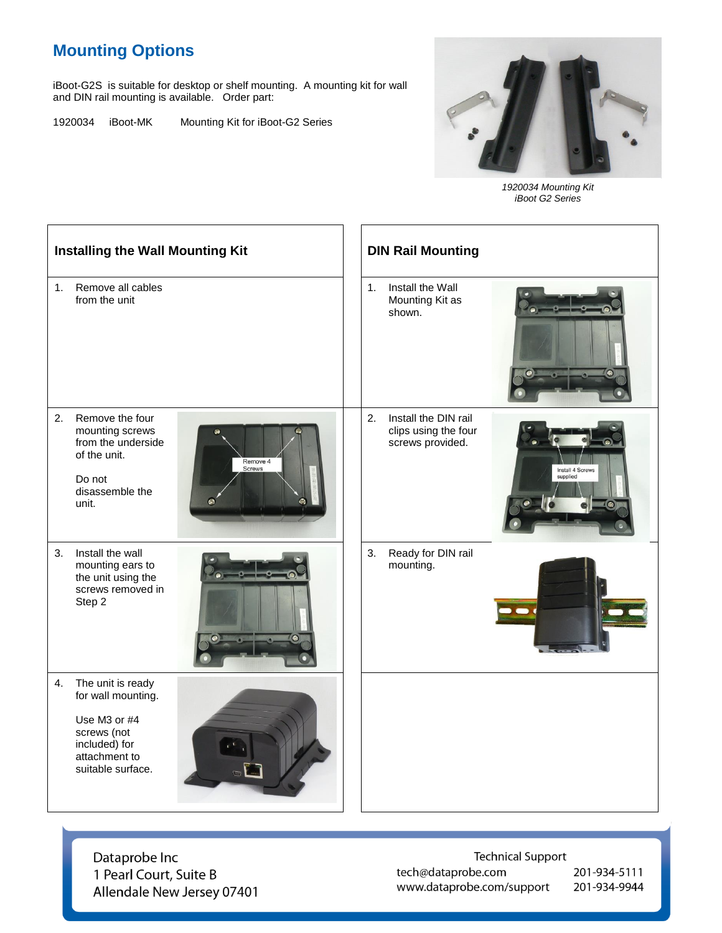## **Mounting Options**

iBoot-G2S is suitable for desktop or shelf mounting. A mounting kit for wall and DIN rail mounting is available. Order part:

1920034 iBoot-MK Mounting Kit for iBoot-G2 Series



*1920034 Mounting Kit iBoot G2 Series*

| <b>Installing the Wall Mounting Kit</b> |                                                                                                                               |                                             | <b>DIN Rail Mounting</b> |                                                                  |                                            |  |  |
|-----------------------------------------|-------------------------------------------------------------------------------------------------------------------------------|---------------------------------------------|--------------------------|------------------------------------------------------------------|--------------------------------------------|--|--|
| 1.                                      | Remove all cables<br>from the unit                                                                                            |                                             | 1 <sub>1</sub>           | Install the Wall<br>Mounting Kit as<br>shown.                    | $\bullet$                                  |  |  |
| 2.                                      | Remove the four<br>mounting screws<br>from the underside<br>of the unit.<br>Do not<br>disassemble the<br>unit.                | Remove 4<br><b>Screws</b><br>$\overline{a}$ | 2.                       | Install the DIN rail<br>clips using the four<br>screws provided. | Install 4 Screws<br>supplied<br>$\sqrt{2}$ |  |  |
| 3.                                      | Install the wall<br>mounting ears to<br>the unit using the<br>screws removed in<br>Step 2                                     | $\bullet$                                   | 3.                       | Ready for DIN rail<br>mounting.                                  |                                            |  |  |
| 4.                                      | The unit is ready<br>for wall mounting.<br>Use M3 or #4<br>screws (not<br>included) for<br>attachment to<br>suitable surface. |                                             |                          |                                                                  |                                            |  |  |

Dataprobe Inc 1 Pearl Court, Suite B Allendale New Jersey 07401

**Technical Support** tech@dataprobe.com www.dataprobe.com/support

201-934-5111 201-934-9944